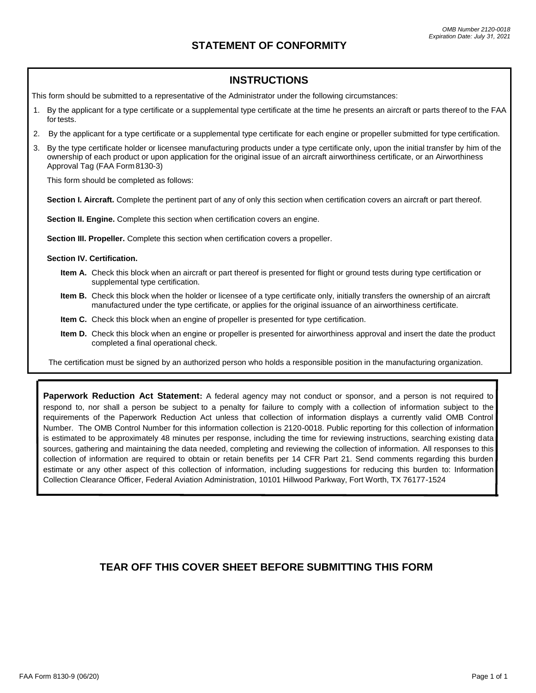## **INSTRUCTIONS**

This form should be submitted to a representative of the Administrator under the following circumstances:

- 1. By the applicant for a type certificate or a supplemental type certificate at the time he presents an aircraft or parts thereof to the FAA for tests.
- 2. By the applicant for a type certificate or a supplemental type certificate for each engine or propeller submitted for type certification.
- 3. By the type certificate holder or licensee manufacturing products under a type certificate only, upon the initial transfer by him of the ownership of each product or upon application for the original issue of an aircraft airworthiness certificate, or an Airworthiness Approval Tag (FAA Form8130-3)

This form should be completed as follows:

**Section I. Aircraft.** Complete the pertinent part of any of only this section when certification covers an aircraft or part thereof.

**Section II. Engine.** Complete this section when certification covers an engine.

**Section III. Propeller.** Complete this section when certification covers a propeller.

- **Section IV. Certification.**
	- **Item A.** Check this block when an aircraft or part thereof is presented for flight or ground tests during type certification or supplemental type certification.
	- **Item B.** Check this block when the holder or licensee of a type certificate only, initially transfers the ownership of an aircraft manufactured under the type certificate, or applies for the original issuance of an airworthiness certificate.
	- **Item C.** Check this block when an engine of propeller is presented for type certification.
	- **Item D.** Check this block when an engine or propeller is presented for airworthiness approval and insert the date the product completed a final operational check.

The certification must be signed by an authorized person who holds a responsible position in the manufacturing organization.

**Paperwork Reduction Act Statement:** A federal agency may not conduct or sponsor, and a person is not required to respond to, nor shall a person be subject to a penalty for failure to comply with a collection of information subject to the requirements of the Paperwork Reduction Act unless that collection of information displays a currently valid OMB Control Number. The OMB Control Number for this information collection is 2120-0018. Public reporting for this collection of information is estimated to be approximately 48 minutes per response, including the time for reviewing instructions, searching existing data sources, gathering and maintaining the data needed, completing and reviewing the collection of information. All responses to this collection of information are required to obtain or retain benefits per 14 CFR Part 21. Send comments regarding this burden estimate or any other aspect of this collection of information, including suggestions for reducing this burden to: Information Collection Clearance Officer, Federal Aviation Administration, 10101 Hillwood Parkway, Fort Worth, TX 76177-1524

## **TEAR OFF THIS COVER SHEET BEFORE SUBMITTING THIS FORM**